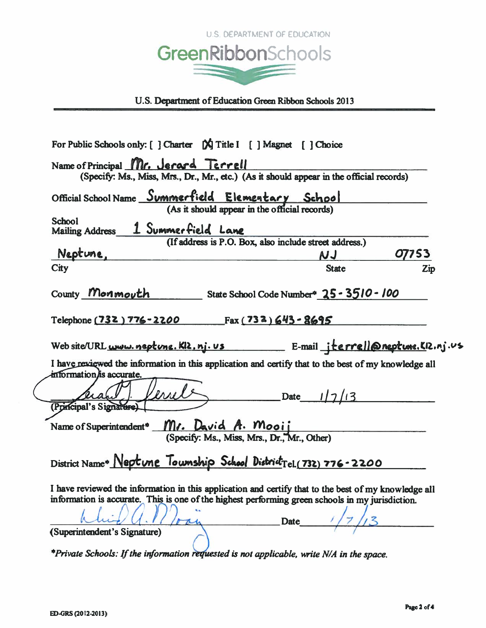

U.S. Department of Education Green Ribbon Schools 2013

| Name of Principal Mr. Jerard Terrell                                                                                                                                                                                    |
|-------------------------------------------------------------------------------------------------------------------------------------------------------------------------------------------------------------------------|
| (Specify: Ms., Miss, Mrs., Dr., Mr., etc.) (As it should appear in the official records)                                                                                                                                |
| Official School Name Summerfield Elementary School<br>(As it should appear in the official records)                                                                                                                     |
| <b>School</b><br>Mailing Address 1 Summerfield Lane                                                                                                                                                                     |
| (If address is P.O. Box, also include street address.)<br>Neptune,<br>07753<br>NJ                                                                                                                                       |
| City<br><b>State</b><br>Zip                                                                                                                                                                                             |
| County Monmouth State School Code Number <sup>®</sup> 25 - 3510 - 100                                                                                                                                                   |
| Telephone (732) 776-2200 Fax (732) 643-8695                                                                                                                                                                             |
| Web site/URL www.neptune.KI2.nj.us E-mail jterrell@neptune.KI2.nj.us                                                                                                                                                    |
| I have reviewed the information in this application and certify that to the best of my knowledge all                                                                                                                    |
| information/is accurate.<br>Date $1/7/13$<br>(Principal's Signarure)                                                                                                                                                    |
| Name of Superintendent <sup>®</sup> Mr. David A. Mooij<br>(Specify: Ms., Miss, Mrs., Dr., Mr., Other)                                                                                                                   |
|                                                                                                                                                                                                                         |
| District Name* Neptune Township School District Tel.(732) 776-2200                                                                                                                                                      |
| I have reviewed the information in this application and certify that to the best of my knowledge all<br>information is accurate. This is one of the highest performing green schools in my jurisdiction.<br><b>Date</b> |
| (Superintendent's Signature)<br>$*Private Schools:$ If the information requested is not applicable, write $N/A$ in the space.                                                                                           |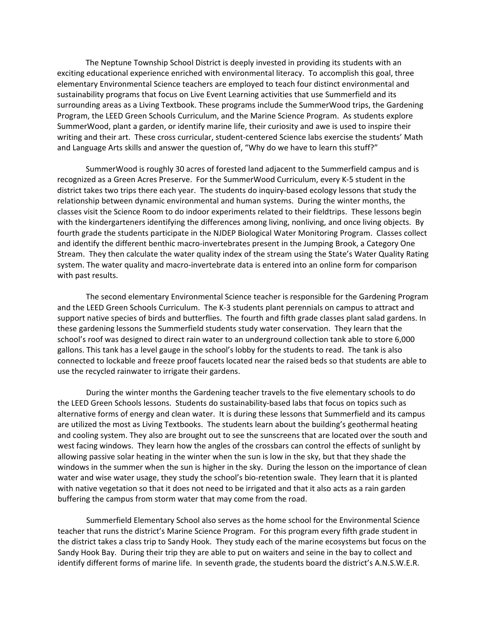The Neptune Township School District is deeply invested in providing its students with an exciting educational experience enriched with environmental literacy. To accomplish this goal, three elementary Environmental Science teachers are employed to teach four distinct environmental and sustainability programs that focus on Live Event Learning activities that use Summerfield and its surrounding areas as a Living Textbook. These programs include the SummerWood trips, the Gardening Program, the LEED Green Schools Curriculum, and the Marine Science Program. As students explore SummerWood, plant a garden, or identify marine life, their curiosity and awe is used to inspire their writing and their art. These cross curricular, student‐centered Science labs exercise the students' Math and Language Arts skills and answer the question of, "Why do we have to learn this stuff?"

SummerWood is roughly 30 acres of forested land adjacent to the Summerfield campus and is recognized as a Green Acres Preserve. For the SummerWood Curriculum, every K‐5 student in the district takes two trips there each year. The students do inquiry‐based ecology lessons that study the relationship between dynamic environmental and human systems. During the winter months, the classes visit the Science Room to do indoor experiments related to their fieldtrips. These lessons begin with the kindergarteners identifying the differences among living, nonliving, and once living objects. By fourth grade the students participate in the NJDEP Biological Water Monitoring Program. Classes collect and identify the different benthic macro-invertebrates present in the Jumping Brook, a Category One Stream. They then calculate the water quality index of the stream using the State's Water Quality Rating system. The water quality and macro-invertebrate data is entered into an online form for comparison with past results.

The second elementary Environmental Science teacher is responsible for the Gardening Program and the LEED Green Schools Curriculum. The K‐3 students plant perennials on campus to attract and support native species of birds and butterflies. The fourth and fifth grade classes plant salad gardens. In these gardening lessons the Summerfield students study water conservation. They learn that the school's roof was designed to direct rain water to an underground collection tank able to store 6,000 gallons. This tank has a level gauge in the school's lobby for the students to read. The tank is also connected to lockable and freeze proof faucets located near the raised beds so that students are able to use the recycled rainwater to irrigate their gardens.

During the winter months the Gardening teacher travels to the five elementary schools to do the LEED Green Schools lessons. Students do sustainability‐based labs that focus on topics such as alternative forms of energy and clean water. It is during these lessons that Summerfield and its campus are utilized the most as Living Textbooks. The students learn about the building's geothermal heating and cooling system. They also are brought out to see the sunscreens that are located over the south and west facing windows. They learn how the angles of the crossbars can control the effects of sunlight by allowing passive solar heating in the winter when the sun is low in the sky, but that they shade the windows in the summer when the sun is higher in the sky. During the lesson on the importance of clean water and wise water usage, they study the school's bio-retention swale. They learn that it is planted with native vegetation so that it does not need to be irrigated and that it also acts as a rain garden buffering the campus from storm water that may come from the road.

Summerfield Elementary School also serves as the home school for the Environmental Science teacher that runs the district's Marine Science Program. For this program every fifth grade student in the district takes a class trip to Sandy Hook. They study each of the marine ecosystems but focus on the Sandy Hook Bay. During their trip they are able to put on waiters and seine in the bay to collect and identify different forms of marine life. In seventh grade, the students board the district's A.N.S.W.E.R.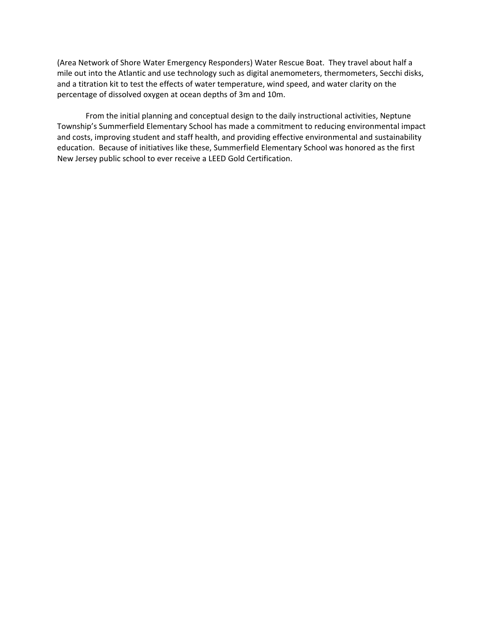(Area Network of Shore Water Emergency Responders) Water Rescue Boat. They travel about half a mile out into the Atlantic and use technology such as digital anemometers, thermometers, Secchi disks, and a titration kit to test the effects of water temperature, wind speed, and water clarity on the percentage of dissolved oxygen at ocean depths of 3m and 10m.

From the initial planning and conceptual design to the daily instructional activities, Neptune Township's Summerfield Elementary School has made a commitment to reducing environmental impact and costs, improving student and staff health, and providing effective environmental and sustainability education. Because of initiatives like these, Summerfield Elementary School was honored as the first New Jersey public school to ever receive a LEED Gold Certification.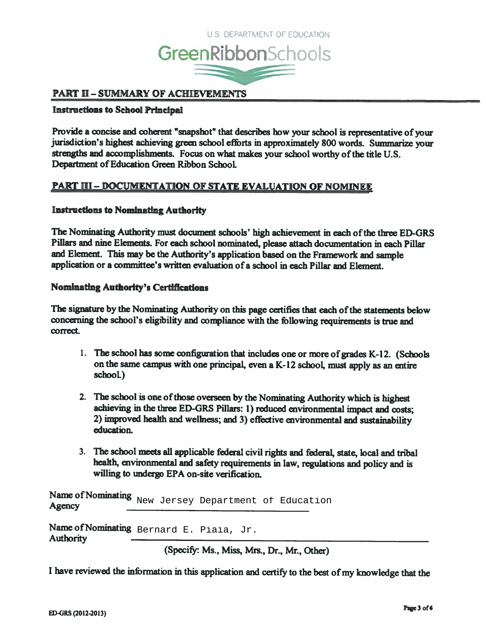

# **PART II – SUMMARY OF ACHIEVEMENTS**

# **Instructions to School Principal**

Provide a concise and coherent "snapshot" that describes how your school is representative of your jurisdiction's highest achieving green school efforts in approximately 800 words. Summarize your strengths and accomplishments. Focus on what makes your school worthy of the title U.S. Department of Education Green Ribbon School.

# <u> PART III – DOCUMENTATION OF STATE EVALUATION OF NOMINEE</u>

#### **Instructions to Nominating Authority**

The Nominating Authority must document schools' high achievement in each of the three ED-GRS Pillars and nine Elements. For each school nominated, please attach documentation in each Pillar and Element. This may be the Authority's application based on the Framework and sample application or a committee's written evaluation of a school in each Pillar and Element.

#### **Nominating Authority's Certifications**

The signature by the Nominating Authority on this page certifies that each of the statements below concerning the school's eligibility and compliance with the following requirements is true and correct.

- 1. The school has some configuration that includes one or more of grades K-12. (Schools on the same campus with one principal, even a K-12 school, must apply as an entire school.)
- 2. The school is one of those overseen by the Nominating Authority which is highest achieving in the three ED-GRS Pillars: 1) reduced environmental impact and costs; 2) improved health and wellness; and 3) effective environmental and sustainability education.
- 3. The school meets all applicable federal civil rights and federal, state, local and tribal health, environmental and safety requirements in law, regulations and policy and is willing to undergo EPA on-site verification.

Name of Nominating New Jersey Department of Education Agency

Name of Nominating Bernard E. Piaia, Jr. **Authority** 

(Specify: Ms., Miss, Mrs., Dr., Mr., Other)

I have reviewed the information in this application and certify to the best of my knowledge that the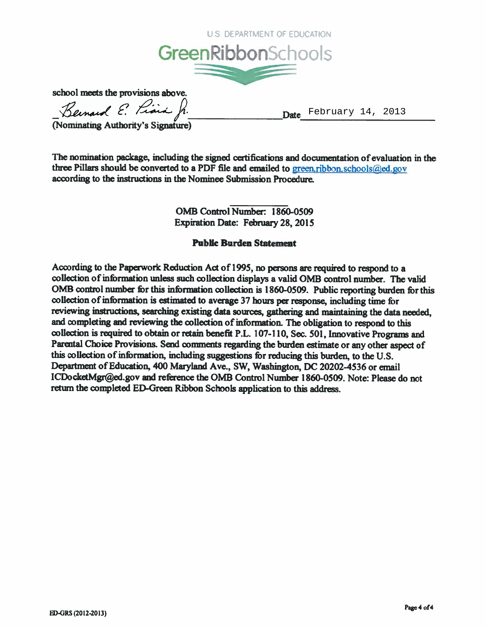

school meets the provisions above.

Bernard E. Piara fr.

Date February 14, 2013

Nominating Authority's Signature)

The nomination package, including the signed certifications and documentation of evaluation in the three Pillars should be converted to a PDF file and emailed to green.ribbon.schools@ed.gov according to the instructions in the Nominee Submission Procedure.

> OMB Control Number: 1860-0509 **Expiration Date: February 28, 2015**

# **Public Burden Statement**

According to the Paperwork Reduction Act of 1995, no persons are required to respond to a collection of information unless such collection displays a valid OMB control number. The valid OMB control number for this information collection is 1860-0509. Public reporting burden for this collection of information is estimated to average 37 hours per response, including time for reviewing instructions, searching existing data sources, gathering and maintaining the data needed, and completing and reviewing the collection of information. The obligation to respond to this collection is required to obtain or retain benefit P.L. 107-110, Sec. 501, Innovative Programs and Parental Choice Provisions. Send comments regarding the burden estimate or any other aspect of this collection of information, including suggestions for reducing this burden, to the U.S. Department of Education, 400 Maryland Ave., SW, Washington, DC 20202-4536 or email ICDocketMgr@ed.gov and reference the OMB Control Number 1860-0509. Note: Please do not return the completed ED-Green Ribbon Schools application to this address.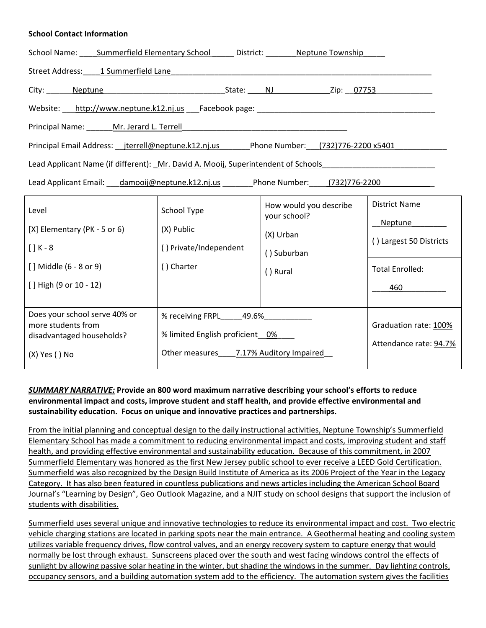#### **School Contact Information**

| School Name: _____ Summerfield Elementary School _______ District: _________ Neptune Township                                                                                                                                  |                                        |                                        |                         |  |  |  |  |  |
|--------------------------------------------------------------------------------------------------------------------------------------------------------------------------------------------------------------------------------|----------------------------------------|----------------------------------------|-------------------------|--|--|--|--|--|
| Street Address: 1 Summerfield Lane 1 2 Street Address: 2 Street Address: 2 Street Address: 2 Street Address: 2 Street Address: 2 Street Address: 2 Street Address: 2 Street Address: 2 Street Address: 2 Street Address: 2 Str |                                        |                                        |                         |  |  |  |  |  |
| City: Neptune Neptune Mercedes New York 2ip: 07753                                                                                                                                                                             |                                        |                                        |                         |  |  |  |  |  |
|                                                                                                                                                                                                                                |                                        |                                        |                         |  |  |  |  |  |
|                                                                                                                                                                                                                                |                                        |                                        |                         |  |  |  |  |  |
| Principal Email Address: __jterrell@neptune.k12.nj.us________Phone Number: __(732)776-2200 x5401                                                                                                                               |                                        |                                        |                         |  |  |  |  |  |
| Lead Applicant Name (if different): Mr. David A. Mooij, Superintendent of Schools [1996] [1996] Lead Applicant                                                                                                                 |                                        |                                        |                         |  |  |  |  |  |
| Lead Applicant Email: damooij@neptune.k12.nj.us Phone Number: (732)776-2200                                                                                                                                                    |                                        |                                        |                         |  |  |  |  |  |
| Level                                                                                                                                                                                                                          | School Type                            | How would you describe<br>your school? | <b>District Name</b>    |  |  |  |  |  |
| [X] Elementary (PK - 5 or 6)                                                                                                                                                                                                   | (X) Public                             | (X) Urban                              | Neptune                 |  |  |  |  |  |
| $[] K - 8$                                                                                                                                                                                                                     | () Private/Independent                 | () Suburban                            | () Largest 50 Districts |  |  |  |  |  |
| [] Middle (6 - 8 or 9)                                                                                                                                                                                                         | () Charter                             | () Rural                               | <b>Total Enrolled:</b>  |  |  |  |  |  |
| [] High (9 or 10 - 12)                                                                                                                                                                                                         |                                        |                                        | 460 000                 |  |  |  |  |  |
|                                                                                                                                                                                                                                |                                        |                                        |                         |  |  |  |  |  |
| Does your school serve 40% or<br>more students from                                                                                                                                                                            | % receiving FRPL 49.6%                 | Graduation rate: 100%                  |                         |  |  |  |  |  |
| disadvantaged households?                                                                                                                                                                                                      | % limited English proficient_0%____    | Attendance rate: 94.7%                 |                         |  |  |  |  |  |
| (X) Yes () No                                                                                                                                                                                                                  | Other measures 7.17% Auditory Impaired |                                        |                         |  |  |  |  |  |

# *SUMMARY NARRATIVE:* **Provide an 800 word maximum narrative describing your school's efforts to reduce environmental impact and costs, improve student and staff health, and provide effective environmental and sustainability education. Focus on unique and innovative practices and partnerships.**

From the initial planning and conceptual design to the daily instructional activities, Neptune Township's Summerfield Elementary School has made a commitment to reducing environmental impact and costs, improving student and staff health, and providing effective environmental and sustainability education. Because of this commitment, in 2007 Summerfield Elementary was honored as the first New Jersey public school to ever receive a LEED Gold Certification. Summerfield was also recognized by the Design Build Institute of America as its 2006 Project of the Year in the Legacy Category. It has also been featured in countless publications and news articles including the American School Board Journal's "Learning by Design", Geo Outlook Magazine, and a NJIT study on school designs that support the inclusion of students with disabilities.

Summerfield uses several unique and innovative technologies to reduce its environmental impact and cost. Two electric vehicle charging stations are located in parking spots near the main entrance. A Geothermal heating and cooling system utilizes variable frequency drives, flow control valves, and an energy recovery system to capture energy that would normally be lost through exhaust. Sunscreens placed over the south and west facing windows control the effects of sunlight by allowing passive solar heating in the winter, but shading the windows in the summer. Day lighting controls, occupancy sensors, and a building automation system add to the efficiency. The automation system gives the facilities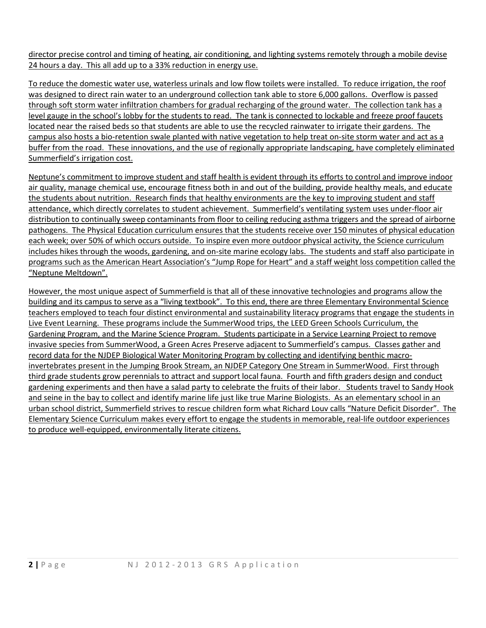director precise control and timing of heating, air conditioning, and lighting systems remotely through a mobile devise 24 hours a day. This all add up to a 33% reduction in energy use.

To reduce the domestic water use, waterless urinals and low flow toilets were installed. To reduce irrigation, the roof was designed to direct rain water to an underground collection tank able to store 6,000 gallons. Overflow is passed through soft storm water infiltration chambers for gradual recharging of the ground water. The collection tank has a level gauge in the school's lobby for the students to read. The tank is connected to lockable and freeze proof faucets located near the raised beds so that students are able to use the recycled rainwater to irrigate their gardens. The campus also hosts a bio-retention swale planted with native vegetation to help treat on-site storm water and act as a buffer from the road. These innovations, and the use of regionally appropriate landscaping, have completely eliminated Summerfield's irrigation cost.

Neptune's commitment to improve student and staff health is evident through its efforts to control and improve indoor air quality, manage chemical use, encourage fitness both in and out of the building, provide healthy meals, and educate the students about nutrition. Research finds that healthy environments are the key to improving student and staff attendance, which directly correlates to student achievement. Summerfield's ventilating system uses under‐floor air distribution to continually sweep contaminants from floor to ceiling reducing asthma triggers and the spread of airborne pathogens. The Physical Education curriculum ensures that the students receive over 150 minutes of physical education each week; over 50% of which occurs outside. To inspire even more outdoor physical activity, the Science curriculum includes hikes through the woods, gardening, and on‐site marine ecology labs. The students and staff also participate in programs such as the American Heart Association's "Jump Rope for Heart" and a staff weight loss competition called the "Neptune Meltdown".

However, the most unique aspect of Summerfield is that all of these innovative technologies and programs allow the building and its campus to serve as a "living textbook". To this end, there are three Elementary Environmental Science teachers employed to teach four distinct environmental and sustainability literacy programs that engage the students in Live Event Learning. These programs include the SummerWood trips, the LEED Green Schools Curriculum, the Gardening Program, and the Marine Science Program. Students participate in a Service Learning Project to remove invasive species from SummerWood, a Green Acres Preserve adjacent to Summerfield's campus. Classes gather and record data for the NJDEP Biological Water Monitoring Program by collecting and identifying benthic macro‐ invertebrates present in the Jumping Brook Stream, an NJDEP Category One Stream in SummerWood. First through third grade students grow perennials to attract and support local fauna. Fourth and fifth graders design and conduct gardening experiments and then have a salad party to celebrate the fruits of their labor. Students travel to Sandy Hook and seine in the bay to collect and identify marine life just like true Marine Biologists. As an elementary school in an urban school district, Summerfield strives to rescue children form what Richard Louv calls "Nature Deficit Disorder". The Elementary Science Curriculum makes every effort to engage the students in memorable, real‐life outdoor experiences to produce well‐equipped, environmentally literate citizens.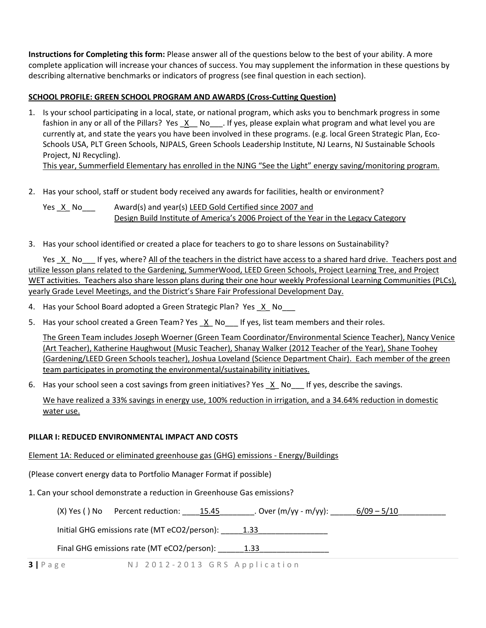**Instructions for Completing this form:** Please answer all of the questions below to the best of your ability. A more complete application will increase your chances of success. You may supplement the information in these questions by describing alternative benchmarks or indicators of progress (see final question in each section).

### **SCHOOL PROFILE: GREEN SCHOOL PROGRAM AND AWARDS (Cross‐Cutting Question)**

1. Is your school participating in a local, state, or national program, which asks you to benchmark progress in some fashion in any or all of the Pillars? Yes X No lif yes, please explain what program and what level you are currently at, and state the years you have been involved in these programs. (e.g. local Green Strategic Plan, Eco‐ Schools USA, PLT Green Schools, NJPALS, Green Schools Leadership Institute, NJ Learns, NJ Sustainable Schools Project, NJ Recycling).

This year, Summerfield Elementary has enrolled in the NJNG "See the Light" energy saving/monitoring program.

2. Has your school, staff or student body received any awards for facilities, health or environment?

Yes \_X\_ No\_\_\_ Award(s) and year(s) LEED Gold Certified since 2007 and Design Build Institute of America's 2006 Project of the Year in the Legacy Category

3. Has your school identified or created a place for teachers to go to share lessons on Sustainability?

Yes X No If yes, where? All of the teachers in the district have access to a shared hard drive. Teachers post and utilize lesson plans related to the Gardening, SummerWood, LEED Green Schools, Project Learning Tree, and Project WET activities. Teachers also share lesson plans during their one hour weekly Professional Learning Communities (PLCs), yearly Grade Level Meetings, and the District's Share Fair Professional Development Day.

- 4. Has your School Board adopted a Green Strategic Plan? Yes X No
- 5. Has your school created a Green Team? Yes X No If yes, list team members and their roles.

The Green Team includes Joseph Woerner (Green Team Coordinator/Environmental Science Teacher), Nancy Venice (Art Teacher), Katherine Haughwout (Music Teacher), Shanay Walker (2012 Teacher of the Year), Shane Toohey (Gardening/LEED Green Schools teacher), Joshua Loveland (Science Department Chair). Each member of the green team participates in promoting the environmental/sustainability initiatives.

6. Has your school seen a cost savings from green initiatives? Yes  $X$  No  $\blacksquare$  If yes, describe the savings.

We have realized a 33% savings in energy use, 100% reduction in irrigation, and a 34.64% reduction in domestic water use.

# **PILLAR I: REDUCED ENVIRONMENTAL IMPACT AND COSTS**

Element 1A: Reduced or eliminated greenhouse gas (GHG) emissions ‐ Energy/Buildings

(Please convert energy data to Portfolio Manager Format if possible)

1. Can your school demonstrate a reduction in Greenhouse Gas emissions?

(X) Yes () No Percent reduction:  $15.45$  . Over (m/yy - m/yy):  $6/09 - 5/10$ 

Initial GHG emissions rate (MT eCO2/person): \_\_\_\_\_1.33\_\_\_\_\_\_\_\_\_\_\_\_\_\_\_\_\_\_\_\_\_\_\_\_\_\_

Final GHG emissions rate (MT eCO2/person): 1.33

**3 |** Page N J 2012 ‐ 2013 GRS Application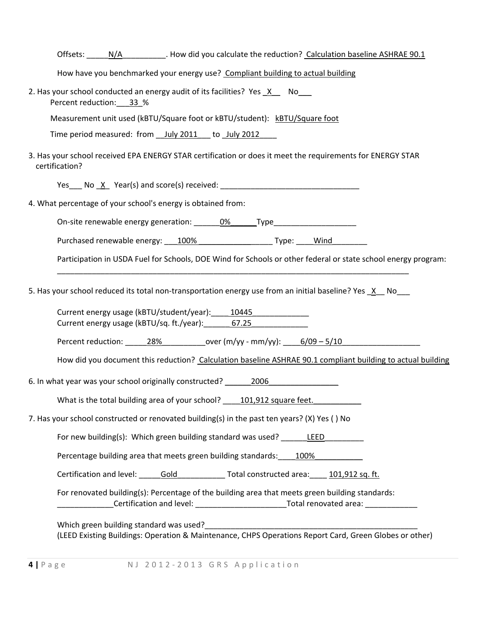| Offsets: ________________________. How did you calculate the reduction? Calculation baseline ASHRAE 90.1                                                                                                     |
|--------------------------------------------------------------------------------------------------------------------------------------------------------------------------------------------------------------|
| How have you benchmarked your energy use? Compliant building to actual building                                                                                                                              |
| 2. Has your school conducted an energy audit of its facilities? Yes X No<br>Percent reduction: 33 %                                                                                                          |
| Measurement unit used (kBTU/Square foot or kBTU/student): kBTU/Square foot                                                                                                                                   |
| Time period measured: from __ July 2011 ___ to _July 2012                                                                                                                                                    |
| 3. Has your school received EPA ENERGY STAR certification or does it meet the requirements for ENERGY STAR<br>certification?                                                                                 |
|                                                                                                                                                                                                              |
| 4. What percentage of your school's energy is obtained from:                                                                                                                                                 |
| On-site renewable energy generation: 0% Type Type Type                                                                                                                                                       |
| Purchased renewable energy: 100% Type: Wind                                                                                                                                                                  |
| Participation in USDA Fuel for Schools, DOE Wind for Schools or other federal or state school energy program:                                                                                                |
| 5. Has your school reduced its total non-transportation energy use from an initial baseline? Yes X No_                                                                                                       |
| Current energy usage (kBTU/student/year): 10445<br>Current energy usage (kBTU/sq. ft./year): 67.25                                                                                                           |
|                                                                                                                                                                                                              |
| How did you document this reduction? Calculation baseline ASHRAE 90.1 compliant building to actual building                                                                                                  |
| 6. In what year was your school originally constructed? 2006 2006                                                                                                                                            |
| What is the total building area of your school? __ 101,912 square feet.                                                                                                                                      |
| 7. Has your school constructed or renovated building(s) in the past ten years? (X) Yes () No                                                                                                                 |
| For new building(s): Which green building standard was used? LEED                                                                                                                                            |
| Percentage building area that meets green building standards: 100%                                                                                                                                           |
| Certification and level: Cold Constructed area: 101,912 sq. ft.                                                                                                                                              |
| For renovated building(s): Percentage of the building area that meets green building standards:<br>____________Certification and level: ______________________________Total renovated area: ________________ |
|                                                                                                                                                                                                              |
| Which green building standard was used?<br>(LEED Existing Buildings: Operation & Maintenance, CHPS Operations Report Card, Green Globes or other)                                                            |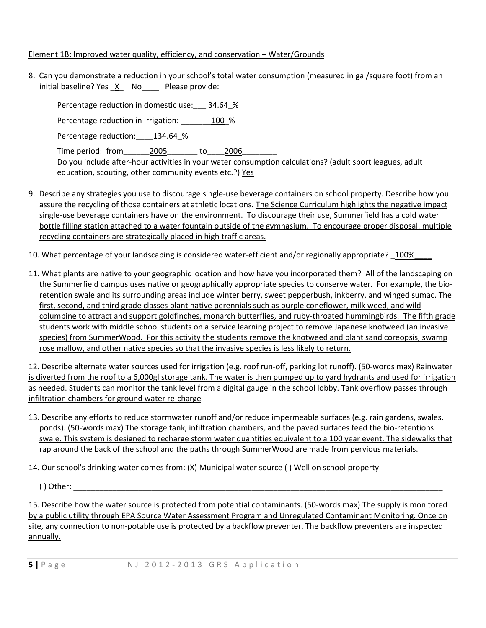#### Element 1B: Improved water quality, efficiency, and conservation – Water/Grounds

8. Can you demonstrate a reduction in your school's total water consumption (measured in gal/square foot) from an initial baseline? Yes \_X\_ No\_\_\_\_ Please provide:

Percentage reduction in domestic use: 34.64 % Percentage reduction in irrigation:  $100\%$ Percentage reduction: 134.64 % Time period: from 2005 to 2006 Do you include after-hour activities in your water consumption calculations? (adult sport leagues, adult education, scouting, other community events etc.?) Yes

- 9. Describe any strategies you use to discourage single‐use beverage containers on school property. Describe how you assure the recycling of those containers at athletic locations. The Science Curriculum highlights the negative impact single‐use beverage containers have on the environment. To discourage their use, Summerfield has a cold water bottle filling station attached to a water fountain outside of the gymnasium. To encourage proper disposal, multiple recycling containers are strategically placed in high traffic areas.
- 10. What percentage of your landscaping is considered water-efficient and/or regionally appropriate? \_100%
- 11. What plants are native to your geographic location and how have you incorporated them? All of the landscaping on the Summerfield campus uses native or geographically appropriate species to conserve water. For example, the bio‐ retention swale and its surrounding areas include winter berry, sweet pepperbush, inkberry, and winged sumac. The first, second, and third grade classes plant native perennials such as purple coneflower, milk weed, and wild columbine to attract and support goldfinches, monarch butterflies, and ruby-throated hummingbirds. The fifth grade students work with middle school students on a service learning project to remove Japanese knotweed (an invasive species) from SummerWood. For this activity the students remove the knotweed and plant sand coreopsis, swamp rose mallow, and other native species so that the invasive species is less likely to return.

12. Describe alternate water sources used for irrigation (e.g. roof run‐off, parking lot runoff). (50‐words max) Rainwater is diverted from the roof to a 6,000gl storage tank. The water is then pumped up to yard hydrants and used for irrigation as needed. Students can monitor the tank level from a digital gauge in the school lobby. Tank overflow passes through infiltration chambers for ground water re-charge

13. Describe any efforts to reduce stormwater runoff and/or reduce impermeable surfaces (e.g. rain gardens, swales, ponds). (50‐words max) The storage tank, infiltration chambers, and the paved surfaces feed the bio‐retentions swale. This system is designed to recharge storm water quantities equivalent to a 100 year event. The sidewalks that rap around the back of the school and the paths through SummerWood are made from pervious materials.

14. Our school's drinking water comes from: (X) Municipal water source ( ) Well on school property

( ) Other: \_\_\_\_\_\_\_\_\_\_\_\_\_\_\_\_\_\_\_\_\_\_\_\_\_\_\_\_\_\_\_\_\_\_\_\_\_\_\_\_\_\_\_\_\_\_\_\_\_\_\_\_\_\_\_\_\_\_\_\_\_\_\_\_\_\_\_\_\_\_\_\_\_\_\_\_\_\_\_\_\_\_\_\_\_

15. Describe how the water source is protected from potential contaminants. (50-words max) The supply is monitored by a public utility through EPA Source Water Assessment Program and Unregulated Contaminant Monitoring. Once on site, any connection to non-potable use is protected by a backflow preventer. The backflow preventers are inspected annually.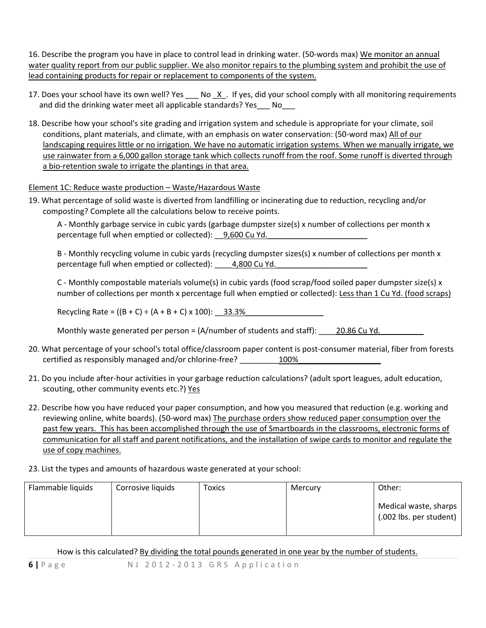16. Describe the program you have in place to control lead in drinking water. (50‐words max) We monitor an annual water quality report from our public supplier. We also monitor repairs to the plumbing system and prohibit the use of lead containing products for repair or replacement to components of the system.

- 17. Does your school have its own well? Yes No X. If yes, did your school comply with all monitoring requirements and did the drinking water meet all applicable standards? Yes No
- 18. Describe how your school's site grading and irrigation system and schedule is appropriate for your climate, soil conditions, plant materials, and climate, with an emphasis on water conservation: (50‐word max) All of our landscaping requires little or no irrigation. We have no automatic irrigation systems. When we manually irrigate, we use rainwater from a 6,000 gallon storage tank which collects runoff from the roof. Some runoff is diverted through a bio-retention swale to irrigate the plantings in that area.

# Element 1C: Reduce waste production – Waste/Hazardous Waste

19. What percentage of solid waste is diverted from landfilling or incinerating due to reduction, recycling and/or composting? Complete all the calculations below to receive points.

A - Monthly garbage service in cubic yards (garbage dumpster size(s) x number of collections per month x percentage full when emptied or collected): \_9,600 Cu Yd.

B - Monthly recycling volume in cubic yards (recycling dumpster sizes(s) x number of collections per month x percentage full when emptied or collected): 4,800 Cu Yd.

C ‐ Monthly compostable materials volume(s) in cubic yards (food scrap/food soiled paper dumpster size(s) x number of collections per month x percentage full when emptied or collected): Less than 1 Cu Yd. (food scraps)

Recycling Rate =  $((B + C) \div (A + B + C) \times 100)$ : 33.3%

Monthly waste generated per person =  $(A/number$  of students and staff): <br>20.86 Cu Yd.

- 20. What percentage of your school's total office/classroom paper content is post‐consumer material, fiber from forests certified as responsibly managed and/or chlorine-free? \_\_\_\_\_\_\_\_\_\_\_\_100%
- 21. Do you include after‐hour activities in your garbage reduction calculations? (adult sport leagues, adult education, scouting, other community events etc.?) Yes
- 22. Describe how you have reduced your paper consumption, and how you measured that reduction (e.g. working and reviewing online, white boards). (50-word max) The purchase orders show reduced paper consumption over the past few years. This has been accomplished through the use of Smartboards in the classrooms, electronic forms of communication for all staff and parent notifications, and the installation of swipe cards to monitor and regulate the use of copy machines.

# 23. List the types and amounts of hazardous waste generated at your school:

| Flammable liquids | Corrosive liquids | <b>Toxics</b> | Mercury | Other:                                           |
|-------------------|-------------------|---------------|---------|--------------------------------------------------|
|                   |                   |               |         | Medical waste, sharps<br>(.002 lbs. per student) |

How is this calculated? By dividing the total pounds generated in one year by the number of students.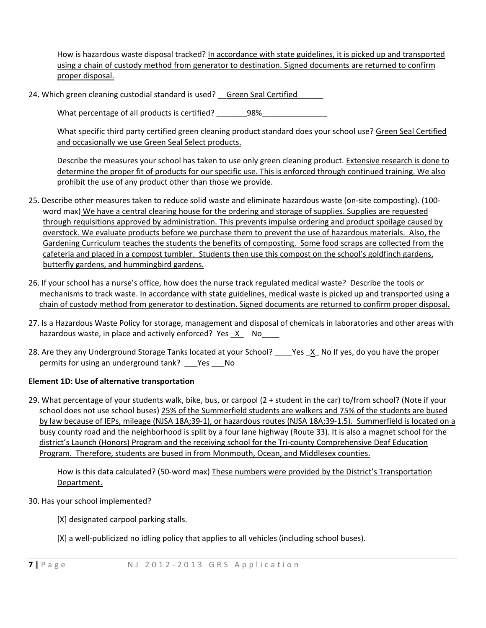How is hazardous waste disposal tracked? In accordance with state guidelines, it is picked up and transported using a chain of custody method from generator to destination. Signed documents are returned to confirm proper disposal.

24. Which green cleaning custodial standard is used? Green Seal Certified

What percentage of all products is certified? \_\_\_\_\_\_98%\_\_\_\_\_\_\_\_\_\_\_\_\_\_\_\_\_\_\_\_\_\_\_\_\_

What specific third party certified green cleaning product standard does your school use? Green Seal Certified and occasionally we use Green Seal Select products.

Describe the measures your school has taken to use only green cleaning product. Extensive research is done to determine the proper fit of products for our specific use. This is enforced through continued training. We also prohibit the use of any product other than those we provide.

- 25. Describe other measures taken to reduce solid waste and eliminate hazardous waste (on‐site composting). (100‐ word max) We have a central clearing house for the ordering and storage of supplies. Supplies are requested through requisitions approved by administration. This prevents impulse ordering and product spoilage caused by overstock. We evaluate products before we purchase them to prevent the use of hazardous materials. Also, the Gardening Curriculum teaches the students the benefits of composting. Some food scraps are collected from the cafeteria and placed in a compost tumbler. Students then use this compost on the school's goldfinch gardens, butterfly gardens, and hummingbird gardens.
- 26. If your school has a nurse's office, how does the nurse track regulated medical waste? Describe the tools or mechanisms to track waste. In accordance with state guidelines, medical waste is picked up and transported using a chain of custody method from generator to destination. Signed documents are returned to confirm proper disposal.
- 27. Is a Hazardous Waste Policy for storage, management and disposal of chemicals in laboratories and other areas with hazardous waste, in place and actively enforced? Yes  $X$  No
- 28. Are they any Underground Storage Tanks located at your School? \_\_\_\_Yes \_X\_ No If yes, do you have the proper permits for using an underground tank? \_\_\_Yes \_\_\_No

# **Element 1D: Use of alternative transportation**

29. What percentage of your students walk, bike, bus, or carpool (2 + student in the car) to/from school? (Note if your school does not use school buses) 25% of the Summerfield students are walkers and 75% of the students are bused by law because of IEPs, mileage (NJSA 18A;39‐1), or hazardous routes (NJSA 18A;39‐1.5). Summerfield is located on a busy county road and the neighborhood is split by a four lane highway (Route 33). It is also a magnet school for the district's Launch (Honors) Program and the receiving school for the Tri-county Comprehensive Deaf Education Program. Therefore, students are bused in from Monmouth, Ocean, and Middlesex counties.

How is this data calculated? (50-word max) These numbers were provided by the District's Transportation Department.

30. Has your school implemented?

[X] designated carpool parking stalls.

[X] a well-publicized no idling policy that applies to all vehicles (including school buses).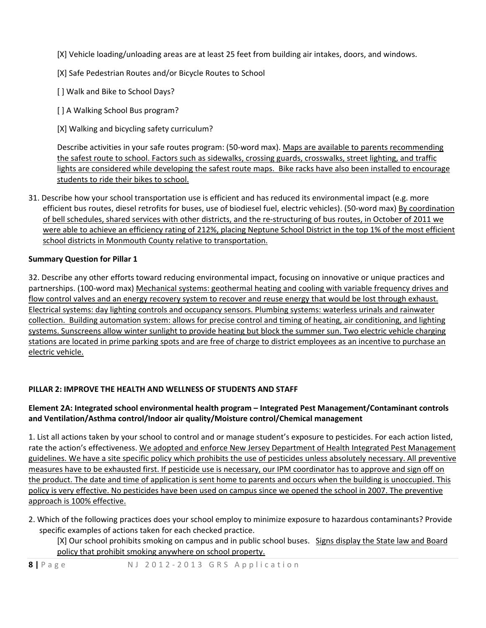- [X] Vehicle loading/unloading areas are at least 25 feet from building air intakes, doors, and windows.
- [X] Safe Pedestrian Routes and/or Bicycle Routes to School
- [] Walk and Bike to School Days?
- [] A Walking School Bus program?
- [X] Walking and bicycling safety curriculum?

Describe activities in your safe routes program: (50-word max). Maps are available to parents recommending the safest route to school. Factors such as sidewalks, crossing guards, crosswalks, street lighting, and traffic lights are considered while developing the safest route maps. Bike racks have also been installed to encourage students to ride their bikes to school.

31. Describe how your school transportation use is efficient and has reduced its environmental impact (e.g. more efficient bus routes, diesel retrofits for buses, use of biodiesel fuel, electric vehicles). (50‐word max) By coordination of bell schedules, shared services with other districts, and the re‐structuring of bus routes, in October of 2011 we were able to achieve an efficiency rating of 212%, placing Neptune School District in the top 1% of the most efficient school districts in Monmouth County relative to transportation.

# **Summary Question for Pillar 1**

32. Describe any other efforts toward reducing environmental impact, focusing on innovative or unique practices and partnerships. (100‐word max) Mechanical systems: geothermal heating and cooling with variable frequency drives and flow control valves and an energy recovery system to recover and reuse energy that would be lost through exhaust. Electrical systems: day lighting controls and occupancy sensors. Plumbing systems: waterless urinals and rainwater collection. Building automation system: allows for precise control and timing of heating, air conditioning, and lighting systems. Sunscreens allow winter sunlight to provide heating but block the summer sun. Two electric vehicle charging stations are located in prime parking spots and are free of charge to district employees as an incentive to purchase an electric vehicle.

# **PILLAR 2: IMPROVE THE HEALTH AND WELLNESS OF STUDENTS AND STAFF**

# **Element 2A: Integrated school environmental health program – Integrated Pest Management/Contaminant controls and Ventilation/Asthma control/Indoor air quality/Moisture control/Chemical management**

1. List all actions taken by your school to control and or manage student's exposure to pesticides. For each action listed, rate the action's effectiveness. We adopted and enforce New Jersey Department of Health Integrated Pest Management guidelines. We have a site specific policy which prohibits the use of pesticides unless absolutely necessary. All preventive measures have to be exhausted first. If pesticide use is necessary, our IPM coordinator has to approve and sign off on the product. The date and time of application is sent home to parents and occurs when the building is unoccupied. This policy is very effective. No pesticides have been used on campus since we opened the school in 2007. The preventive approach is 100% effective.

2. Which of the following practices does your school employ to minimize exposure to hazardous contaminants? Provide specific examples of actions taken for each checked practice.

[X] Our school prohibits smoking on campus and in public school buses. Signs display the State law and Board policy that prohibit smoking anywhere on school property.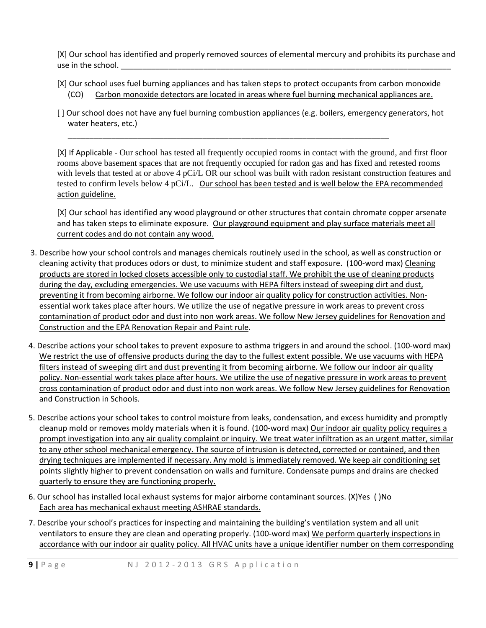[X] Our school has identified and properly removed sources of elemental mercury and prohibits its purchase and use in the school.

- [X] Our school uses fuel burning appliances and has taken steps to protect occupants from carbon monoxide (CO) Carbon monoxide detectors are located in areas where fuel burning mechanical appliances are.
- [ ] Our school does not have any fuel burning combustion appliances (e.g. boilers, emergency generators, hot water heaters, etc.)

\_\_\_\_\_\_\_\_\_\_\_\_\_\_\_\_\_\_\_\_\_\_\_\_\_\_\_\_\_\_\_\_\_\_\_\_\_\_\_\_\_\_\_\_\_\_\_\_\_\_\_\_\_\_\_\_\_\_\_\_\_\_\_\_\_\_\_\_\_\_\_\_\_\_

[X] If Applicable ‐ Our school has tested all frequently occupied rooms in contact with the ground, and first floor rooms above basement spaces that are not frequently occupied for radon gas and has fixed and retested rooms with levels that tested at or above 4 pCi/L OR our school was built with radon resistant construction features and tested to confirm levels below 4 pCi/L. Our school has been tested and is well below the EPA recommended action guideline.

[X] Our school has identified any wood playground or other structures that contain chromate copper arsenate and has taken steps to eliminate exposure. Our playground equipment and play surface materials meet all current codes and do not contain any wood.

- 3. Describe how your school controls and manages chemicals routinely used in the school, as well as construction or cleaning activity that produces odors or dust, to minimize student and staff exposure. (100‐word max) Cleaning products are stored in locked closets accessible only to custodial staff. We prohibit the use of cleaning products during the day, excluding emergencies. We use vacuums with HEPA filters instead of sweeping dirt and dust, preventing it from becoming airborne. We follow our indoor air quality policy for construction activities. Nonessential work takes place after hours. We utilize the use of negative pressure in work areas to prevent cross contamination of product odor and dust into non work areas. We follow New Jersey guidelines for Renovation and Construction and the EPA Renovation Repair and Paint rule.
- 4. Describe actions your school takes to prevent exposure to asthma triggers in and around the school. (100-word max) We restrict the use of offensive products during the day to the fullest extent possible. We use vacuums with HEPA filters instead of sweeping dirt and dust preventing it from becoming airborne. We follow our indoor air quality policy. Non-essential work takes place after hours. We utilize the use of negative pressure in work areas to prevent cross contamination of product odor and dust into non work areas. We follow New Jersey guidelines for Renovation and Construction in Schools.
- 5. Describe actions your school takes to control moisture from leaks, condensation, and excess humidity and promptly cleanup mold or removes moldy materials when it is found. (100‐word max) Our indoor air quality policy requires a prompt investigation into any air quality complaint or inquiry. We treat water infiltration as an urgent matter, similar to any other school mechanical emergency. The source of intrusion is detected, corrected or contained, and then drying techniques are implemented if necessary. Any mold is immediately removed. We keep air conditioning set points slightly higher to prevent condensation on walls and furniture. Condensate pumps and drains are checked quarterly to ensure they are functioning properly.
- 6. Our school has installed local exhaust systems for major airborne contaminant sources. (X)Yes ( )No Each area has mechanical exhaust meeting ASHRAE standards.
- 7. Describe your school's practices for inspecting and maintaining the building's ventilation system and all unit ventilators to ensure they are clean and operating properly. (100-word max) We perform quarterly inspections in accordance with our indoor air quality policy*.* All HVAC units have a unique identifier number on them corresponding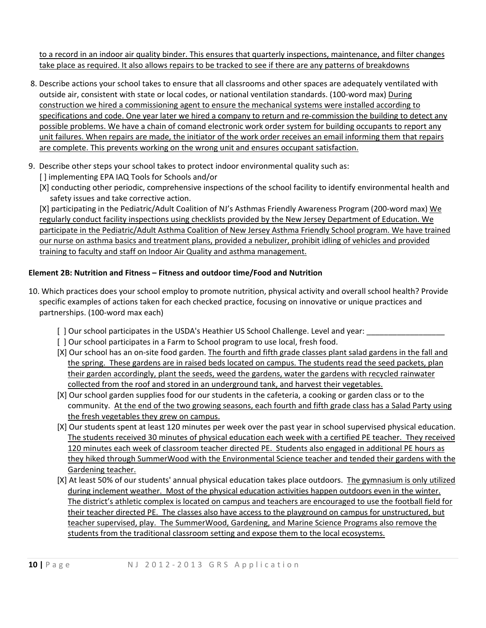to a record in an indoor air quality binder. This ensures that quarterly inspections, maintenance, and filter changes take place as required. It also allows repairs to be tracked to see if there are any patterns of breakdowns

- 8. Describe actions your school takes to ensure that all classrooms and other spaces are adequately ventilated with outside air, consistent with state or local codes, or national ventilation standards. (100‐word max) During construction we hired a commissioning agent to ensure the mechanical systems were installed according to specifications and code. One year later we hired a company to return and re-commission the building to detect any possible problems. We have a chain of comand electronic work order system for building occupants to report any unit failures. When repairs are made, the initiator of the work order receives an email informing them that repairs are complete. This prevents working on the wrong unit and ensures occupant satisfaction.
- 9. Describe other steps your school takes to protect indoor environmental quality such as:
	- [] implementing EPA IAQ Tools for Schools and/or
	- [X] conducting other periodic, comprehensive inspections of the school facility to identify environmental health and safety issues and take corrective action.

[X] participating in the Pediatric/Adult Coalition of NJ's Asthmas Friendly Awareness Program (200-word max) We regularly conduct facility inspections using checklists provided by the New Jersey Department of Education. We participate in the Pediatric/Adult Asthma Coalition of New Jersey Asthma Friendly School program. We have trained our nurse on asthma basics and treatment plans, provided a nebulizer, prohibit idling of vehicles and provided training to faculty and staff on Indoor Air Quality and asthma management.

# **Element 2B: Nutrition and Fitness – Fitness and outdoor time/Food and Nutrition**

- 10. Which practices does your school employ to promote nutrition, physical activity and overall school health? Provide specific examples of actions taken for each checked practice, focusing on innovative or unique practices and partnerships. (100‐word max each)
	- [ ] Our school participates in the USDA's Heathier US School Challenge. Level and year: \_\_\_\_\_\_\_\_\_\_\_\_\_\_\_\_\_\_
	- [ ] Our school participates in a Farm to School program to use local, fresh food.
	- [X] Our school has an on-site food garden. The fourth and fifth grade classes plant salad gardens in the fall and the spring. These gardens are in raised beds located on campus. The students read the seed packets, plan their garden accordingly, plant the seeds, weed the gardens, water the gardens with recycled rainwater collected from the roof and stored in an underground tank, and harvest their vegetables.
	- [X] Our school garden supplies food for our students in the cafeteria, a cooking or garden class or to the community. At the end of the two growing seasons, each fourth and fifth grade class has a Salad Party using the fresh vegetables they grew on campus.
	- [X] Our students spent at least 120 minutes per week over the past year in school supervised physical education. The students received 30 minutes of physical education each week with a certified PE teacher. They received 120 minutes each week of classroom teacher directed PE. Students also engaged in additional PE hours as they hiked through SummerWood with the Environmental Science teacher and tended their gardens with the Gardening teacher.
	- [X] At least 50% of our students' annual physical education takes place outdoors. The gymnasium is only utilized during inclement weather. Most of the physical education activities happen outdoors even in the winter. The district's athletic complex is located on campus and teachers are encouraged to use the football field for their teacher directed PE. The classes also have access to the playground on campus for unstructured, but teacher supervised, play. The SummerWood, Gardening, and Marine Science Programs also remove the students from the traditional classroom setting and expose them to the local ecosystems.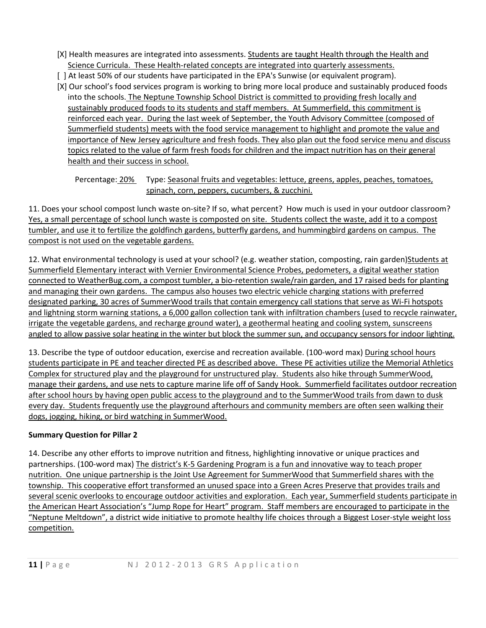- [X] Health measures are integrated into assessments. Students are taught Health through the Health and Science Curricula. These Health‐related concepts are integrated into quarterly assessments.
- [ ] At least 50% of our students have participated in the EPA's Sunwise (or equivalent program).
- [X] Our school's food services program is working to bring more local produce and sustainably produced foods into the schools. The Neptune Township School District is committed to providing fresh locally and sustainably produced foods to its students and staff members. At Summerfield, this commitment is reinforced each year. During the last week of September, the Youth Advisory Committee (composed of Summerfield students) meets with the food service management to highlight and promote the value and importance of New Jersey agriculture and fresh foods. They also plan out the food service menu and discuss topics related to the value of farm fresh foods for children and the impact nutrition has on their general health and their success in school.

Percentage: 20% Type: Seasonal fruits and vegetables: lettuce, greens, apples, peaches, tomatoes, spinach, corn, peppers, cucumbers, & zucchini.

11. Does your school compost lunch waste on‐site? If so, what percent? How much is used in your outdoor classroom? Yes, a small percentage of school lunch waste is composted on site. Students collect the waste, add it to a compost tumbler, and use it to fertilize the goldfinch gardens, butterfly gardens, and hummingbird gardens on campus. The compost is not used on the vegetable gardens.

12. What environmental technology is used at your school? (e.g. weather station, composting, rain garden) Students at Summerfield Elementary interact with Vernier Environmental Science Probes, pedometers, a digital weather station connected to WeatherBug.com, a compost tumbler, a bio‐retention swale/rain garden, and 17 raised beds for planting and managing their own gardens. The campus also houses two electric vehicle charging stations with preferred designated parking, 30 acres of SummerWood trails that contain emergency call stations that serve as Wi‐Fi hotspots and lightning storm warning stations, a 6,000 gallon collection tank with infiltration chambers (used to recycle rainwater, irrigate the vegetable gardens, and recharge ground water), a geothermal heating and cooling system, sunscreens angled to allow passive solar heating in the winter but block the summer sun, and occupancy sensors for indoor lighting.

13. Describe the type of outdoor education, exercise and recreation available. (100-word max) During school hours students participate in PE and teacher directed PE as described above. These PE activities utilize the Memorial Athletics Complex for structured play and the playground for unstructured play. Students also hike through SummerWood, manage their gardens, and use nets to capture marine life off of Sandy Hook. Summerfield facilitates outdoor recreation after school hours by having open public access to the playground and to the SummerWood trails from dawn to dusk every day. Students frequently use the playground afterhours and community members are often seen walking their dogs, jogging, hiking, or bird watching in SummerWood.

# **Summary Question for Pillar 2**

14. Describe any other efforts to improve nutrition and fitness, highlighting innovative or unique practices and partnerships. (100-word max) The district's K-5 Gardening Program is a fun and innovative way to teach proper nutrition. One unique partnership is the Joint Use Agreement for SummerWood that Summerfield shares with the township. This cooperative effort transformed an unused space into a Green Acres Preserve that provides trails and several scenic overlooks to encourage outdoor activities and exploration. Each year, Summerfield students participate in the American Heart Association's "Jump Rope for Heart" program. Staff members are encouraged to participate in the "Neptune Meltdown", a district wide initiative to promote healthy life choices through a Biggest Loser‐style weight loss competition.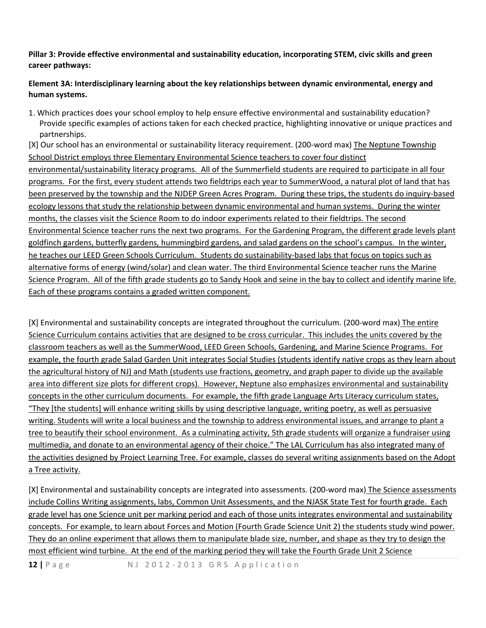### **Pillar 3: Provide effective environmental and sustainability education, incorporating STEM, civic skills and green career pathways:**

# **Element 3A: Interdisciplinary learning about the key relationships between dynamic environmental, energy and human systems.**

1. Which practices does your school employ to help ensure effective environmental and sustainability education? Provide specific examples of actions taken for each checked practice, highlighting innovative or unique practices and partnerships.

[X] Our school has an environmental or sustainability literacy requirement. (200-word max) The Neptune Township School District employs three Elementary Environmental Science teachers to cover four distinct environmental/sustainability literacy programs. All of the Summerfield students are required to participate in all four programs. For the first, every student attends two fieldtrips each year to SummerWood, a natural plot of land that has been preserved by the township and the NJDEP Green Acres Program. During these trips, the students do inquiry-based ecology lessons that study the relationship between dynamic environmental and human systems. During the winter months, the classes visit the Science Room to do indoor experiments related to their fieldtrips. The second Environmental Science teacher runs the next two programs. For the Gardening Program, the different grade levels plant goldfinch gardens, butterfly gardens, hummingbird gardens, and salad gardens on the school's campus. In the winter, he teaches our LEED Green Schools Curriculum. Students do sustainability-based labs that focus on topics such as alternative forms of energy (wind/solar) and clean water. The third Environmental Science teacher runs the Marine Science Program. All of the fifth grade students go to Sandy Hook and seine in the bay to collect and identify marine life. Each of these programs contains a graded written component.

[X] Environmental and sustainability concepts are integrated throughout the curriculum. (200-word max) The entire Science Curriculum contains activities that are designed to be cross curricular. This includes the units covered by the classroom teachers as well as the SummerWood, LEED Green Schools, Gardening, and Marine Science Programs. For example, the fourth grade Salad Garden Unit integrates Social Studies (students identify native crops as they learn about the agricultural history of NJ) and Math (students use fractions, geometry, and graph paper to divide up the available area into different size plots for different crops). However, Neptune also emphasizes environmental and sustainability concepts in the other curriculum documents. For example, the fifth grade Language Arts Literacy curriculum states, "They [the students] will enhance writing skills by using descriptive language, writing poetry, as well as persuasive writing. Students will write a local business and the township to address environmental issues, and arrange to plant a tree to beautify their school environment. As a culminating activity, 5th grade students will organize a fundraiser using multimedia, and donate to an environmental agency of their choice." The LAL Curriculum has also integrated many of the activities designed by Project Learning Tree. For example, classes do several writing assignments based on the Adopt a Tree activity.

[X] Environmental and sustainability concepts are integrated into assessments. (200‐word max) The Science assessments include Collins Writing assignments, labs, Common Unit Assessments, and the NJASK State Test for fourth grade. Each grade level has one Science unit per marking period and each of those units integrates environmental and sustainability concepts. For example, to learn about Forces and Motion (Fourth Grade Science Unit 2) the students study wind power. They do an online experiment that allows them to manipulate blade size, number, and shape as they try to design the most efficient wind turbine. At the end of the marking period they will take the Fourth Grade Unit 2 Science

**12 |** Page N J 2012 ‐ 2013 GRS Application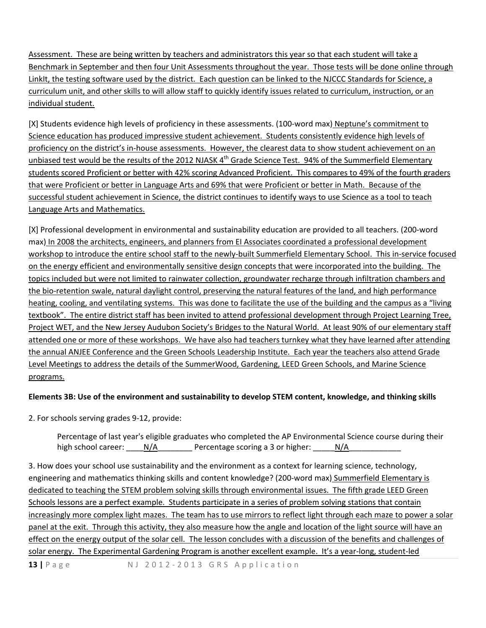Assessment. These are being written by teachers and administrators this year so that each student will take a Benchmark in September and then four Unit Assessments throughout the year. Those tests will be done online through LinkIt, the testing software used by the district. Each question can be linked to the NJCCC Standards for Science, a curriculum unit, and other skills to will allow staff to quickly identify issues related to curriculum, instruction, or an individual student.

[X] Students evidence high levels of proficiency in these assessments. (100‐word max) Neptune's commitment to Science education has produced impressive student achievement. Students consistently evidence high levels of proficiency on the district's in-house assessments. However, the clearest data to show student achievement on an unbiased test would be the results of the 2012 NJASK  $4<sup>th</sup>$  Grade Science Test. 94% of the Summerfield Elementary students scored Proficient or better with 42% scoring Advanced Proficient. This compares to 49% of the fourth graders that were Proficient or better in Language Arts and 69% that were Proficient or better in Math. Because of the successful student achievement in Science, the district continues to identify ways to use Science as a tool to teach Language Arts and Mathematics.

[X] Professional development in environmental and sustainability education are provided to all teachers. (200‐word max) In 2008 the architects, engineers, and planners from EI Associates coordinated a professional development workshop to introduce the entire school staff to the newly-built Summerfield Elementary School. This in-service focused on the energy efficient and environmentally sensitive design concepts that were incorporated into the building. The topics included but were not limited to rainwater collection, groundwater recharge through infiltration chambers and the bio-retention swale, natural daylight control, preserving the natural features of the land, and high performance heating, cooling, and ventilating systems. This was done to facilitate the use of the building and the campus as a "living textbook". The entire district staff has been invited to attend professional development through Project Learning Tree, Project WET, and the New Jersey Audubon Society's Bridges to the Natural World. At least 90% of our elementary staff attended one or more of these workshops. We have also had teachers turnkey what they have learned after attending the annual ANJEE Conference and the Green Schools Leadership Institute. Each year the teachers also attend Grade Level Meetings to address the details of the SummerWood, Gardening, LEED Green Schools, and Marine Science programs.

# **Elements 3B: Use of the environment and sustainability to develop STEM content, knowledge, and thinking skills**

2. For schools serving grades 9‐12, provide:

Percentage of last year's eligible graduates who completed the AP Environmental Science course during their high school career: \_\_\_\_\_N/A\_\_\_\_\_\_\_\_\_\_ Percentage scoring a 3 or higher: \_\_\_\_\_\_N/A\_\_\_\_\_\_\_\_\_\_\_\_\_\_\_\_\_

3. How does your school use sustainability and the environment as a context for learning science, technology, engineering and mathematics thinking skills and content knowledge? (200-word max) Summerfield Elementary is dedicated to teaching the STEM problem solving skills through environmental issues. The fifth grade LEED Green Schools lessons are a perfect example. Students participate in a series of problem solving stations that contain increasingly more complex light mazes. The team has to use mirrors to reflect light through each maze to power a solar panel at the exit. Through this activity, they also measure how the angle and location of the light source will have an effect on the energy output of the solar cell. The lesson concludes with a discussion of the benefits and challenges of solar energy. The Experimental Gardening Program is another excellent example. It's a year-long, student-led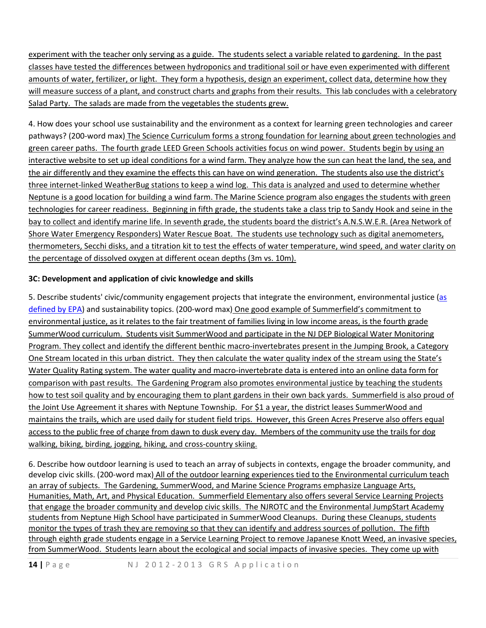experiment with the teacher only serving as a guide. The students select a variable related to gardening. In the past classes have tested the differences between hydroponics and traditional soil or have even experimented with different amounts of water, fertilizer, or light. They form a hypothesis, design an experiment, collect data, determine how they will measure success of a plant, and construct charts and graphs from their results. This lab concludes with a celebratory Salad Party. The salads are made from the vegetables the students grew.

4. How does your school use sustainability and the environment as a context for learning green technologies and career pathways? (200‐word max) The Science Curriculum forms a strong foundation for learning about green technologies and green career paths. The fourth grade LEED Green Schools activities focus on wind power. Students begin by using an interactive website to set up ideal conditions for a wind farm. They analyze how the sun can heat the land, the sea, and the air differently and they examine the effects this can have on wind generation. The students also use the district's three internet‐linked WeatherBug stations to keep a wind log. This data is analyzed and used to determine whether Neptune is a good location for building a wind farm. The Marine Science program also engages the students with green technologies for career readiness. Beginning in fifth grade, the students take a class trip to Sandy Hook and seine in the bay to collect and identify marine life. In seventh grade, the students board the district's A.N.S.W.E.R. (Area Network of Shore Water Emergency Responders) Water Rescue Boat. The students use technology such as digital anemometers, thermometers, Secchi disks, and a titration kit to test the effects of water temperature, wind speed, and water clarity on the percentage of dissolved oxygen at different ocean depths (3m vs. 10m).

# **3C: Development and application of civic knowledge and skills**

5. Describe students' civic/community engagement projects that integrate the environment, environmental justice ([as](http://www.epa.gov/environmentaljustice/) [defined](http://www.epa.gov/environmentaljustice/) by EPA) and sustainability topics. (200-word max) One good example of Summerfield's commitment to environmental justice, as it relates to the fair treatment of families living in low income areas, is the fourth grade SummerWood curriculum. Students visit SummerWood and participate in the NJ DEP Biological Water Monitoring Program. They collect and identify the different benthic macro‐invertebrates present in the Jumping Brook, a Category One Stream located in this urban district. They then calculate the water quality index of the stream using the State's Water Quality Rating system. The water quality and macro-invertebrate data is entered into an online data form for comparison with past results. The Gardening Program also promotes environmental justice by teaching the students how to test soil quality and by encouraging them to plant gardens in their own back yards. Summerfield is also proud of the Joint Use Agreement it shares with Neptune Township. For \$1 a year, the district leases SummerWood and maintains the trails, which are used daily for student field trips. However, this Green Acres Preserve also offers equal access to the public free of charge from dawn to dusk every day. Members of the community use the trails for dog walking, biking, birding, jogging, hiking, and cross‐country skiing.

6. Describe how outdoor learning is used to teach an array of subjects in contexts, engage the broader community, and develop civic skills. (200‐word max) All of the outdoor learning experiences tied to the Environmental curriculum teach an array of subjects. The Gardening, SummerWood, and Marine Science Programs emphasize Language Arts, Humanities, Math, Art, and Physical Education. Summerfield Elementary also offers several Service Learning Projects that engage the broader community and develop civic skills. The NJROTC and the Environmental JumpStart Academy students from Neptune High School have participated in SummerWood Cleanups. During these Cleanups, students monitor the types of trash they are removing so that they can identify and address sources of pollution. The fifth through eighth grade students engage in a Service Learning Project to remove Japanese Knott Weed, an invasive species, from SummerWood. Students learn about the ecological and social impacts of invasive species. They come up with

**14 |** Page N J 2012 ‐ 2013 GRS Application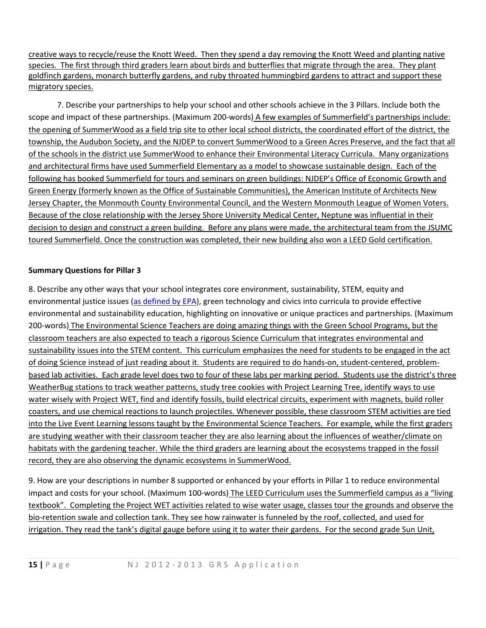creative ways to recycle/reuse the Knott Weed. Then they spend a day removing the Knott Weed and planting native species. The first through third graders learn about birds and butterflies that migrate through the area. They plant goldfinch gardens, monarch butterfly gardens, and ruby throated hummingbird gardens to attract and support these migratory species.

7. Describe your partnerships to help your school and other schools achieve in the 3 Pillars. Include both the scope and impact of these partnerships. (Maximum 200-words) A few examples of Summerfield's partnerships include: the opening of SummerWood as a field trip site to other local school districts, the coordinated effort of the district, the township, the Audubon Society, and the NJDEP to convert SummerWood to a Green Acres Preserve, and the fact that all of the schools in the district use SummerWood to enhance their Environmental Literacy Curricula. Many organizations and architectural firms have used Summerfield Elementary as a model to showcase sustainable design. Each of the following has booked Summerfield for tours and seminars on green buildings: NJDEP's Office of Economic Growth and Green Energy (formerly known as the Office of Sustainable Communities), the American Institute of Architects New Jersey Chapter, the Monmouth County Environmental Council, and the Western Monmouth League of Women Voters. Because of the close relationship with the Jersey Shore University Medical Center, Neptune was influential in their decision to design and construct a green building. Before any plans were made, the architectural team from the JSUMC toured Summerfield. Once the construction was completed, their new building also won a LEED Gold certification.

# **Summary Questions for Pillar 3**

8. Describe any other ways that your school integrates core environment, sustainability, STEM, equity and environmental justice issues (as [defined](http://www.epa.gov/environmentaljustice/) by EPA), green technology and civics into curricula to provide effective environmental and sustainability education, highlighting on innovative or unique practices and partnerships. (Maximum 200‐words) The Environmental Science Teachers are doing amazing things with the Green School Programs, but the classroom teachers are also expected to teach a rigorous Science Curriculum that integrates environmental and sustainability issues into the STEM content. This curriculum emphasizes the need for students to be engaged in the act of doing Science instead of just reading about it. Students are required to do hands‐on, student‐centered, problem‐ based lab activities. Each grade level does two to four of these labs per marking period. Students use the district's three WeatherBug stations to track weather patterns, study tree cookies with Project Learning Tree, identify ways to use water wisely with Project WET, find and identify fossils, build electrical circuits, experiment with magnets, build roller coasters, and use chemical reactions to launch projectiles. Whenever possible, these classroom STEM activities are tied into the Live Event Learning lessons taught by the Environmental Science Teachers. For example, while the first graders are studying weather with their classroom teacher they are also learning about the influences of weather/climate on habitats with the gardening teacher. While the third graders are learning about the ecosystems trapped in the fossil record, they are also observing the dynamic ecosystems in SummerWood.

9. How are your descriptions in number 8 supported or enhanced by your efforts in Pillar 1 to reduce environmental impact and costs for your school. (Maximum 100-words) The LEED Curriculum uses the Summerfield campus as a "living textbook". Completing the Project WET activities related to wise water usage, classes tour the grounds and observe the bio-retention swale and collection tank. They see how rainwater is funneled by the roof, collected, and used for irrigation. They read the tank's digital gauge before using it to water their gardens. For the second grade Sun Unit,